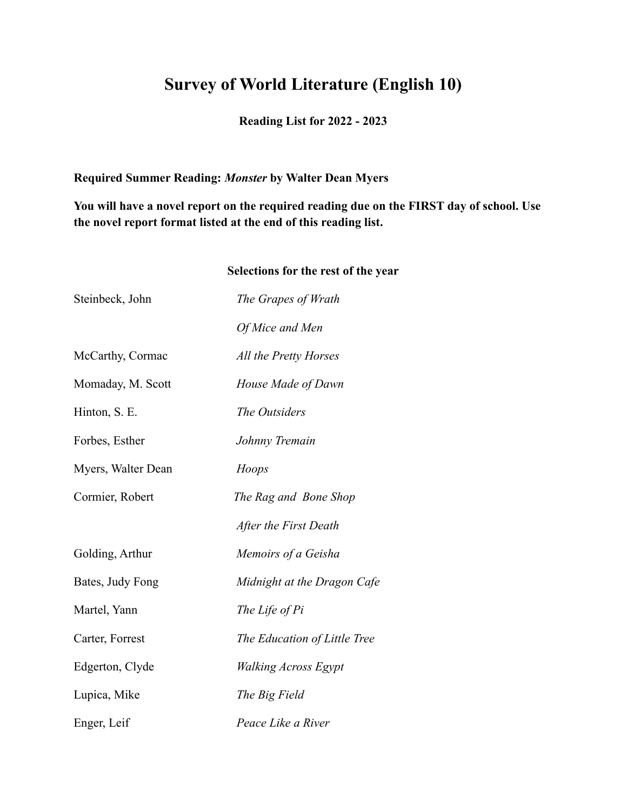## **Survey of World Literature (English 10)**

## **Reading List for 2022 - 2023**

## **Required Summer Reading:** *Monster* **by Walter Dean Myers**

**You will have a novel report on the required reading due on the FIRST day of school. Use the novel report format listed at the end of this reading list.**

## **Selections for the rest of the year**

| Steinbeck, John    | The Grapes of Wrath          |
|--------------------|------------------------------|
|                    | Of Mice and Men              |
| McCarthy, Cormac   | All the Pretty Horses        |
| Momaday, M. Scott  | House Made of Dawn           |
| Hinton, S. E.      | The Outsiders                |
| Forbes, Esther     | Johnny Tremain               |
| Myers, Walter Dean | Hoops                        |
| Cormier, Robert    | The Rag and Bone Shop        |
|                    | After the First Death        |
| Golding, Arthur    | Memoirs of a Geisha          |
| Bates, Judy Fong   | Midnight at the Dragon Cafe  |
| Martel, Yann       | The Life of Pi               |
| Carter, Forrest    | The Education of Little Tree |
| Edgerton, Clyde    | <b>Walking Across Egypt</b>  |
| Lupica, Mike       | The Big Field                |
| Enger, Leif        | Peace Like a River           |